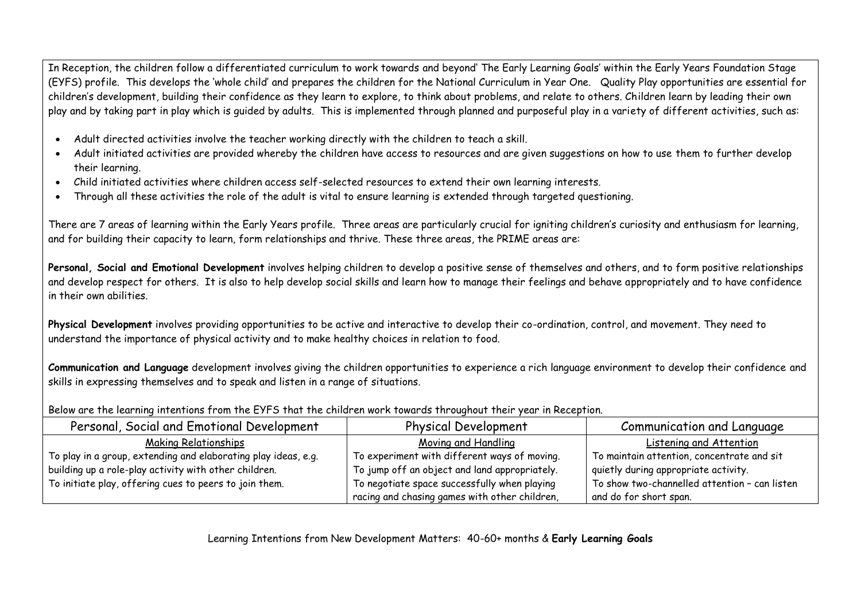In Reception, the children follow a differentiated curriculum to work towards and beyond' The Early Learning Goals' within the Early Years Foundation Stage (EYFS) profile. This develops the 'whole child' and prepares the children for the National Curriculum in Year One. Quality Play opportunities are essential for children's development, building their confidence as they learn to explore, to think about problems, and relate to others. Children learn by leading their own play and by taking part in play which is guided by adults. This is implemented through planned and purposeful play in a variety of different activities, such as:

- Adult directed activities involve the teacher working directly with the children to teach a skill.
- Adult initiated activities are provided whereby the children have access to resources and are given suggestions on how to use them to further develop their learning.
- Child initiated activities where children access self-selected resources to extend their own learning interests.
- Through all these activities the role of the adult is vital to ensure learning is extended through targeted questioning.

There are 7 areas of learning within the Early Years profile. Three areas are particularly crucial for igniting children's curiosity and enthusiasm for learning, and for building their capacity to learn, form relationships and thrive. These three areas, the PRIME areas are:

**Personal, Social and Emotional Development** involves helping children to develop a positive sense of themselves and others, and to form positive relationships and develop respect for others. It is also to help develop social skills and learn how to manage their feelings and behave appropriately and to have confidence in their own abilities.

**Physical Development** involves providing opportunities to be active and interactive to develop their co-ordination, control, and movement. They need to understand the importance of physical activity and to make healthy choices in relation to food.

**Communication and Language** development involves giving the children opportunities to experience a rich language environment to develop their confidence and skills in expressing themselves and to speak and listen in a range of situations.

Below are the learning intentions from the EYFS that the children work towards throughout their year in Reception.

| Personal, Social and Emotional Development                     | <b>Physical Development</b>                   | Communication and Language                    |
|----------------------------------------------------------------|-----------------------------------------------|-----------------------------------------------|
| Making Relationships                                           | Moving and Handling                           | Listening and Attention                       |
| To play in a group, extending and elaborating play ideas, e.g. | To experiment with different ways of moving.  | To maintain attention, concentrate and sit    |
| building up a role-play activity with other children.          | To jump off an object and land appropriately. | quietly during appropriate activity.          |
| To initiate play, offering cues to peers to join them.         | To negotiate space successfully when playing  | To show two-channelled attention - can listen |
|                                                                | racing and chasing games with other children, | and do for short span.                        |

Learning Intentions from New Development Matters: 40-60+ months & **Early Learning Goals**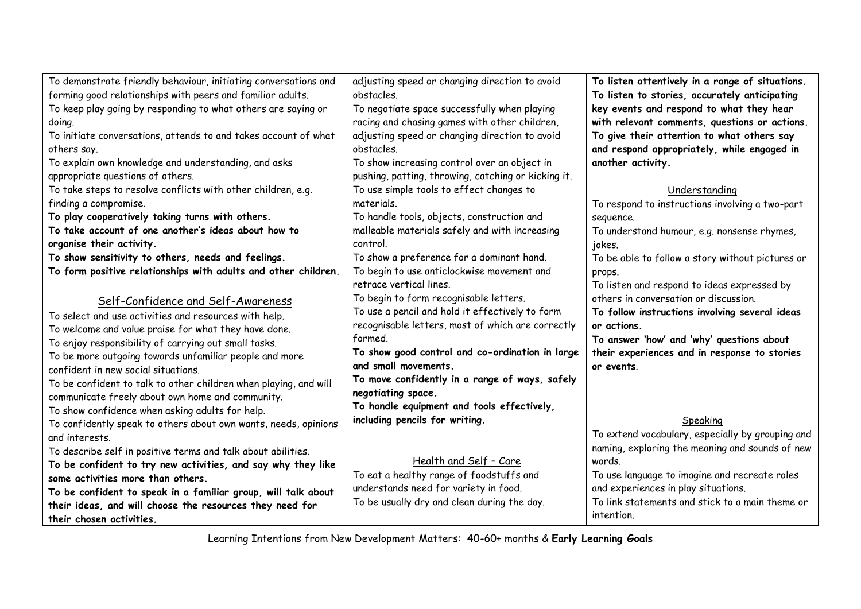| To demonstrate friendly behaviour, initiating conversations and  | adjusting speed or changing direction to avoid      | To listen attentively in a range of situations.  |
|------------------------------------------------------------------|-----------------------------------------------------|--------------------------------------------------|
| forming good relationships with peers and familiar adults.       | obstacles.                                          | To listen to stories, accurately anticipating    |
| To keep play going by responding to what others are saying or    | To negotiate space successfully when playing        | key events and respond to what they hear         |
| doing.                                                           | racing and chasing games with other children,       | with relevant comments, questions or actions.    |
| To initiate conversations, attends to and takes account of what  | adjusting speed or changing direction to avoid      | To give their attention to what others say       |
| others say.                                                      | obstacles.                                          | and respond appropriately, while engaged in      |
| To explain own knowledge and understanding, and asks             | To show increasing control over an object in        | another activity.                                |
| appropriate questions of others.                                 | pushing, patting, throwing, catching or kicking it. |                                                  |
| To take steps to resolve conflicts with other children, e.g.     | To use simple tools to effect changes to            | Understanding                                    |
| finding a compromise.                                            | materials.                                          | To respond to instructions involving a two-part  |
| To play cooperatively taking turns with others.                  | To handle tools, objects, construction and          | sequence.                                        |
| To take account of one another's ideas about how to              | malleable materials safely and with increasing      | To understand humour, e.g. nonsense rhymes,      |
| organise their activity.                                         | control.                                            | jokes.                                           |
| To show sensitivity to others, needs and feelings.               | To show a preference for a dominant hand.           | To be able to follow a story without pictures or |
| To form positive relationships with adults and other children.   | To begin to use anticlockwise movement and          | props.                                           |
|                                                                  | retrace vertical lines.                             | To listen and respond to ideas expressed by      |
| Self-Confidence and Self-Awareness                               | To begin to form recognisable letters.              | others in conversation or discussion.            |
| To select and use activities and resources with help.            | To use a pencil and hold it effectively to form     | To follow instructions involving several ideas   |
| To welcome and value praise for what they have done.             | recognisable letters, most of which are correctly   | or actions.                                      |
| To enjoy responsibility of carrying out small tasks.             | formed.                                             | To answer 'how' and 'why' questions about        |
| To be more outgoing towards unfamiliar people and more           | To show good control and co-ordination in large     | their experiences and in response to stories     |
| confident in new social situations.                              | and small movements.                                | or events.                                       |
| To be confident to talk to other children when playing, and will | To move confidently in a range of ways, safely      |                                                  |
| communicate freely about own home and community.                 | negotiating space.                                  |                                                  |
| To show confidence when asking adults for help.                  | To handle equipment and tools effectively,          |                                                  |
| To confidently speak to others about own wants, needs, opinions  | including pencils for writing.                      | Speaking                                         |
| and interests.                                                   |                                                     | To extend vocabulary, especially by grouping and |
| To describe self in positive terms and talk about abilities.     |                                                     | naming, exploring the meaning and sounds of new  |
| To be confident to try new activities, and say why they like     | Health and Self - Care                              | words.                                           |
| some activities more than others.                                | To eat a healthy range of foodstuffs and            | To use language to imagine and recreate roles    |
| To be confident to speak in a familiar group, will talk about    | understands need for variety in food.               | and experiences in play situations.              |
| their ideas, and will choose the resources they need for         | To be usually dry and clean during the day.         | To link statements and stick to a main theme or  |
| their chosen activities.                                         |                                                     | intention.                                       |

Learning Intentions from New Development Matters: 40-60+ months & **Early Learning Goals**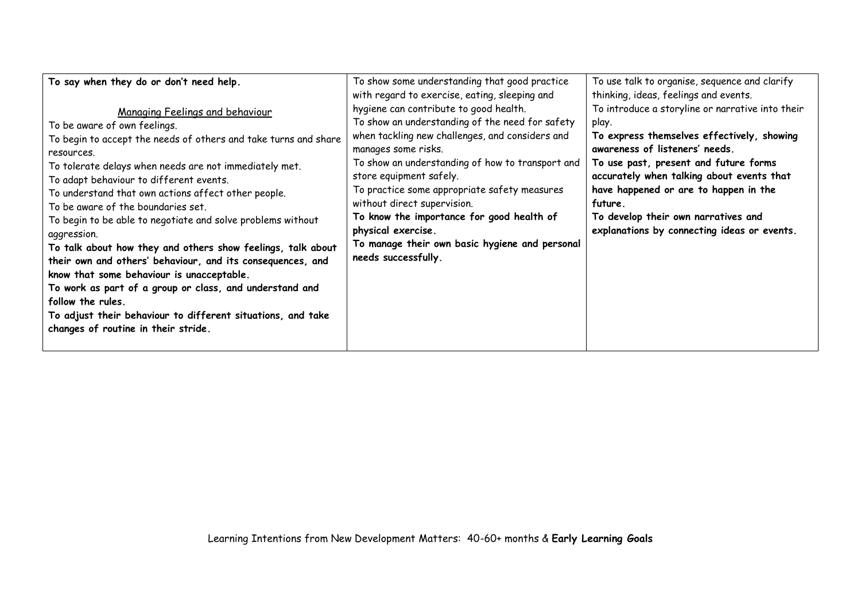| To say when they do or don't need help.                                                                                                                                                                                                                                                                                                                                                                                                                                                                                                                                                                                                                                                                                                                                                          | To show some understanding that good practice<br>with regard to exercise, eating, sleeping and                                                                                                                                                                                                                                                                                                                                                                                | To use talk to organise, sequence and clarify<br>thinking, ideas, feelings and events.                                                                                                                                                                                                                                                                                    |
|--------------------------------------------------------------------------------------------------------------------------------------------------------------------------------------------------------------------------------------------------------------------------------------------------------------------------------------------------------------------------------------------------------------------------------------------------------------------------------------------------------------------------------------------------------------------------------------------------------------------------------------------------------------------------------------------------------------------------------------------------------------------------------------------------|-------------------------------------------------------------------------------------------------------------------------------------------------------------------------------------------------------------------------------------------------------------------------------------------------------------------------------------------------------------------------------------------------------------------------------------------------------------------------------|---------------------------------------------------------------------------------------------------------------------------------------------------------------------------------------------------------------------------------------------------------------------------------------------------------------------------------------------------------------------------|
| Managing Feelings and behaviour<br>To be aware of own feelings.<br>To begin to accept the needs of others and take turns and share<br>resources.<br>To tolerate delays when needs are not immediately met.<br>To adapt behaviour to different events.<br>To understand that own actions affect other people.<br>To be aware of the boundaries set.<br>To begin to be able to negotiate and solve problems without<br>aggression.<br>To talk about how they and others show feelings, talk about<br>their own and others' behaviour, and its consequences, and<br>know that some behaviour is unacceptable.<br>To work as part of a group or class, and understand and<br>follow the rules.<br>To adjust their behaviour to different situations, and take<br>changes of routine in their stride. | hygiene can contribute to good health.<br>To show an understanding of the need for safety<br>when tackling new challenges, and considers and<br>manages some risks.<br>To show an understanding of how to transport and<br>store equipment safely.<br>To practice some appropriate safety measures<br>without direct supervision.<br>To know the importance for good health of<br>physical exercise.<br>To manage their own basic hygiene and personal<br>needs successfully. | To introduce a storyline or narrative into their<br>play.<br>To express themselves effectively, showing<br>awareness of listeners' needs.<br>To use past, present and future forms<br>accurately when talking about events that<br>have happened or are to happen in the<br>future.<br>To develop their own narratives and<br>explanations by connecting ideas or events. |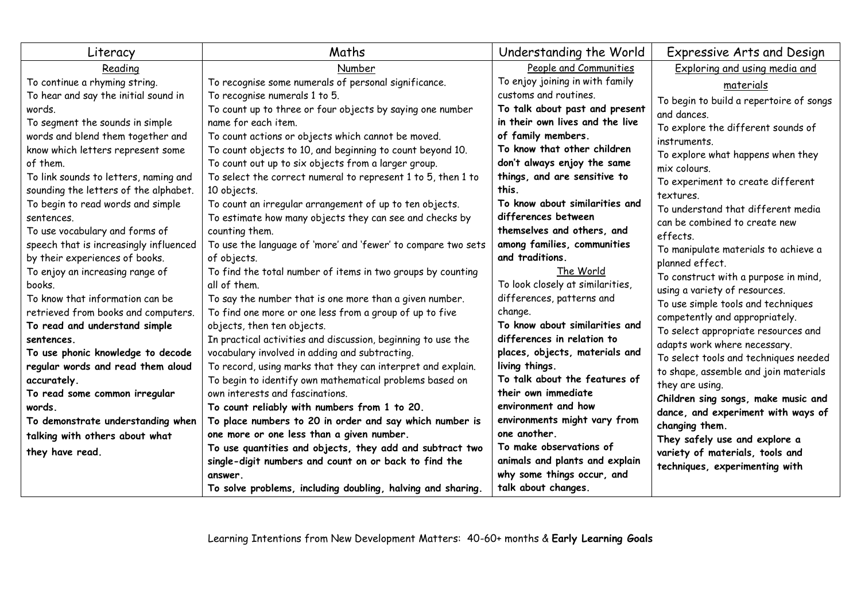| Literacy                                                               | Maths                                                                                                         | Understanding the World                   | Expressive Arts and Design              |
|------------------------------------------------------------------------|---------------------------------------------------------------------------------------------------------------|-------------------------------------------|-----------------------------------------|
| Reading                                                                | Number                                                                                                        | People and Communities                    | Exploring and using media and           |
| To continue a rhyming string.                                          | To recognise some numerals of personal significance.                                                          | To enjoy joining in with family           | materials                               |
| To hear and say the initial sound in                                   | To recognise numerals 1 to 5.                                                                                 | customs and routines.                     | To begin to build a repertoire of songs |
| words.                                                                 | To count up to three or four objects by saying one number                                                     | To talk about past and present            | and dances.                             |
| To segment the sounds in simple                                        | name for each item.                                                                                           | in their own lives and the live           | To explore the different sounds of      |
| words and blend them together and                                      | To count actions or objects which cannot be moved.                                                            | of family members.                        | instruments.                            |
| know which letters represent some                                      | To count objects to 10, and beginning to count beyond 10.                                                     | To know that other children               | To explore what happens when they       |
| of them.                                                               | To count out up to six objects from a larger group.                                                           | don't always enjoy the same               | mix colours.                            |
| To link sounds to letters, naming and                                  | To select the correct numeral to represent 1 to 5, then 1 to                                                  | things, and are sensitive to              | To experiment to create different       |
| sounding the letters of the alphabet.                                  | 10 objects.                                                                                                   | this.                                     | textures.                               |
| To begin to read words and simple                                      | To count an irregular arrangement of up to ten objects.                                                       | To know about similarities and            | To understand that different media      |
| sentences.                                                             | To estimate how many objects they can see and checks by                                                       | differences between                       | can be combined to create new           |
| To use vocabulary and forms of                                         | counting them.                                                                                                | themselves and others, and                | effects.                                |
| speech that is increasingly influenced                                 | To use the language of 'more' and 'fewer' to compare two sets                                                 | among families, communities               | To manipulate materials to achieve a    |
| by their experiences of books.                                         | of objects.                                                                                                   | and traditions.                           | planned effect.                         |
| To enjoy an increasing range of                                        | To find the total number of items in two groups by counting                                                   | The World                                 | To construct with a purpose in mind,    |
| books.                                                                 | all of them.                                                                                                  | To look closely at similarities,          | using a variety of resources.           |
| To know that information can be                                        | To say the number that is one more than a given number.                                                       | differences, patterns and                 | To use simple tools and techniques      |
| retrieved from books and computers.                                    | To find one more or one less from a group of up to five                                                       | change.<br>To know about similarities and | competently and appropriately.          |
| To read and understand simple                                          | objects, then ten objects.                                                                                    | differences in relation to                | To select appropriate resources and     |
| sentences.                                                             | In practical activities and discussion, beginning to use the                                                  | places, objects, materials and            | adapts work where necessary.            |
| To use phonic knowledge to decode<br>regular words and read them aloud | vocabulary involved in adding and subtracting.<br>To record, using marks that they can interpret and explain. | living things.                            | To select tools and techniques needed   |
| accurately.                                                            | To begin to identify own mathematical problems based on                                                       | To talk about the features of             | to shape, assemble and join materials   |
| To read some common irregular                                          | own interests and fascinations.                                                                               | their own immediate                       | they are using.                         |
| words.                                                                 | To count reliably with numbers from 1 to 20.                                                                  | environment and how                       | Children sing songs, make music and     |
| To demonstrate understanding when                                      | To place numbers to 20 in order and say which number is                                                       | environments might vary from              | dance, and experiment with ways of      |
| talking with others about what                                         | one more or one less than a given number.                                                                     | one another.                              | changing them.                          |
|                                                                        | To use quantities and objects, they add and subtract two                                                      | To make observations of                   | They safely use and explore a           |
| they have read.                                                        | single-digit numbers and count on or back to find the                                                         | animals and plants and explain            | variety of materials, tools and         |
|                                                                        | answer.                                                                                                       | why some things occur, and                | techniques, experimenting with          |
|                                                                        | To solve problems, including doubling, halving and sharing.                                                   | talk about changes.                       |                                         |

Learning Intentions from New Development Matters: 40-60+ months & **Early Learning Goals**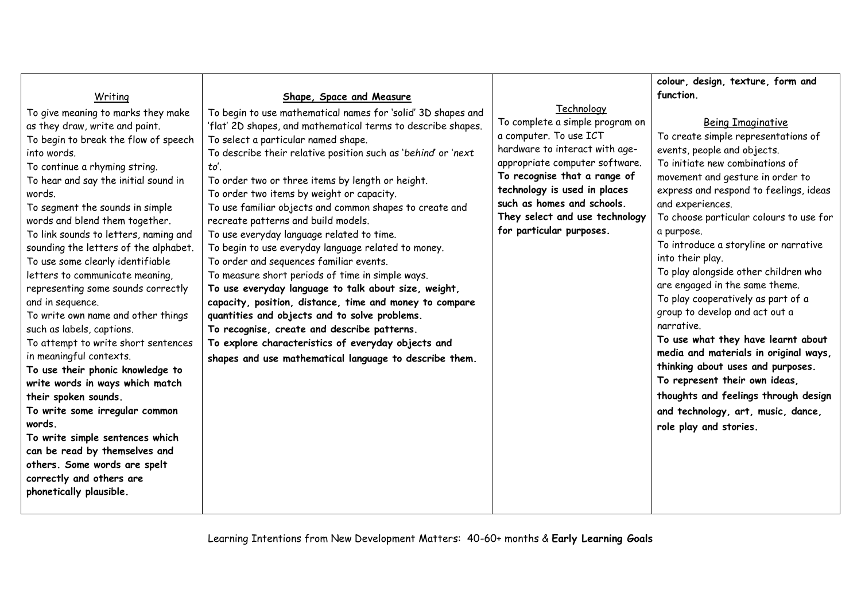|                                                                                                                                                                                                                                                                                                                                                                                                                                                                                                                                                                                                                                                                                                                                                                                                                                                                                                                                                   |                                                                                                                                                                                                                                                                                                                                                                                                                                                                                                                                                                                                                                                                                                                                                                                                                                                                                                                                                                                       |                                                                                                                                                                                                                                                                                                         | colour, design, texture, form and                                                                                                                                                                                                                                                                                                                                                                                                                                                                                                                                                                                                                                                                                                                                                      |
|---------------------------------------------------------------------------------------------------------------------------------------------------------------------------------------------------------------------------------------------------------------------------------------------------------------------------------------------------------------------------------------------------------------------------------------------------------------------------------------------------------------------------------------------------------------------------------------------------------------------------------------------------------------------------------------------------------------------------------------------------------------------------------------------------------------------------------------------------------------------------------------------------------------------------------------------------|---------------------------------------------------------------------------------------------------------------------------------------------------------------------------------------------------------------------------------------------------------------------------------------------------------------------------------------------------------------------------------------------------------------------------------------------------------------------------------------------------------------------------------------------------------------------------------------------------------------------------------------------------------------------------------------------------------------------------------------------------------------------------------------------------------------------------------------------------------------------------------------------------------------------------------------------------------------------------------------|---------------------------------------------------------------------------------------------------------------------------------------------------------------------------------------------------------------------------------------------------------------------------------------------------------|----------------------------------------------------------------------------------------------------------------------------------------------------------------------------------------------------------------------------------------------------------------------------------------------------------------------------------------------------------------------------------------------------------------------------------------------------------------------------------------------------------------------------------------------------------------------------------------------------------------------------------------------------------------------------------------------------------------------------------------------------------------------------------------|
| Writing                                                                                                                                                                                                                                                                                                                                                                                                                                                                                                                                                                                                                                                                                                                                                                                                                                                                                                                                           | Shape, Space and Measure                                                                                                                                                                                                                                                                                                                                                                                                                                                                                                                                                                                                                                                                                                                                                                                                                                                                                                                                                              |                                                                                                                                                                                                                                                                                                         | function.                                                                                                                                                                                                                                                                                                                                                                                                                                                                                                                                                                                                                                                                                                                                                                              |
| To give meaning to marks they make<br>as they draw, write and paint.<br>To begin to break the flow of speech<br>into words.<br>To continue a rhyming string.<br>To hear and say the initial sound in<br>words.<br>To segment the sounds in simple<br>words and blend them together.<br>To link sounds to letters, naming and<br>sounding the letters of the alphabet.<br>To use some clearly identifiable<br>letters to communicate meaning,<br>representing some sounds correctly<br>and in sequence.<br>To write own name and other things<br>such as labels, captions.<br>To attempt to write short sentences<br>in meaningful contexts.<br>To use their phonic knowledge to<br>write words in ways which match<br>their spoken sounds.<br>To write some irregular common<br>words.<br>To write simple sentences which<br>can be read by themselves and<br>others. Some words are spelt<br>correctly and others are<br>phonetically plausible. | To begin to use mathematical names for 'solid' 3D shapes and<br>'flat' 2D shapes, and mathematical terms to describe shapes.<br>To select a particular named shape.<br>To describe their relative position such as 'behind' or 'next<br>to'.<br>To order two or three items by length or height.<br>To order two items by weight or capacity.<br>To use familiar objects and common shapes to create and<br>recreate patterns and build models.<br>To use everyday language related to time.<br>To begin to use everyday language related to money.<br>To order and sequences familiar events.<br>To measure short periods of time in simple ways.<br>To use everyday language to talk about size, weight,<br>capacity, position, distance, time and money to compare<br>quantities and objects and to solve problems.<br>To recognise, create and describe patterns.<br>To explore characteristics of everyday objects and<br>shapes and use mathematical language to describe them. | Technology<br>To complete a simple program on<br>a computer. To use ICT<br>hardware to interact with age-<br>appropriate computer software.<br>To recognise that a range of<br>technology is used in places<br>such as homes and schools.<br>They select and use technology<br>for particular purposes. | <b>Being Imaginative</b><br>To create simple representations of<br>events, people and objects.<br>To initiate new combinations of<br>movement and gesture in order to<br>express and respond to feelings, ideas<br>and experiences.<br>To choose particular colours to use for<br>a purpose.<br>To introduce a storyline or narrative<br>into their play.<br>To play alongside other children who<br>are engaged in the same theme.<br>To play cooperatively as part of a<br>group to develop and act out a<br>narrative.<br>To use what they have learnt about<br>media and materials in original ways,<br>thinking about uses and purposes.<br>To represent their own ideas,<br>thoughts and feelings through design<br>and technology, art, music, dance,<br>role play and stories. |
|                                                                                                                                                                                                                                                                                                                                                                                                                                                                                                                                                                                                                                                                                                                                                                                                                                                                                                                                                   |                                                                                                                                                                                                                                                                                                                                                                                                                                                                                                                                                                                                                                                                                                                                                                                                                                                                                                                                                                                       |                                                                                                                                                                                                                                                                                                         |                                                                                                                                                                                                                                                                                                                                                                                                                                                                                                                                                                                                                                                                                                                                                                                        |